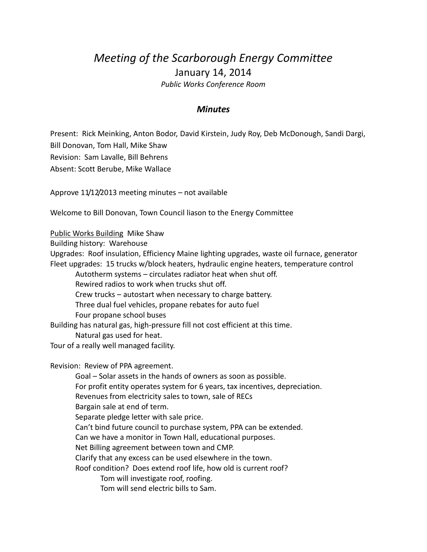## *Meeting of the Scarborough Energy Committee* January 14, 2014 *Public Works Conference Room*

## *Minutes*

Present: Rick Meinking, Anton Bodor, David Kirstein, Judy Roy, Deb McDonough, Sandi Dargi, Bill Donovan, Tom Hall, Mike Shaw Revision: Sam Lavalle, Bill Behrens Absent: Scott Berube, Mike Wallace

Approve 11/12/2013 meeting minutes – not available

Welcome to Bill Donovan, Town Council liason to the Energy Committee

Public Works Building Mike Shaw

Building history: Warehouse

Upgrades: Roof insulation, Efficiency Maine lighting upgrades, waste oil furnace, generator Fleet upgrades: 15 trucks w/block heaters, hydraulic engine heaters, temperature control

Autotherm systems – circulates radiator heat when shut off.

Rewired radios to work when trucks shut off.

Crew trucks – autostart when necessary to charge battery.

Three dual fuel vehicles, propane rebates for auto fuel

Four propane school buses

Building has natural gas, high-pressure fill not cost efficient at this time.

Natural gas used for heat.

Tour of a really well managed facility.

Revision: Review of PPA agreement.

Goal – Solar assets in the hands of owners as soon as possible.

For profit entity operates system for 6 years, tax incentives, depreciation.

Revenues from electricity sales to town, sale of RECs

Bargain sale at end of term.

Separate pledge letter with sale price.

Can't bind future council to purchase system, PPA can be extended.

Can we have a monitor in Town Hall, educational purposes.

Net Billing agreement between town and CMP.

Clarify that any excess can be used elsewhere in the town.

Roof condition? Does extend roof life, how old is current roof?

Tom will investigate roof, roofing.

Tom will send electric bills to Sam.